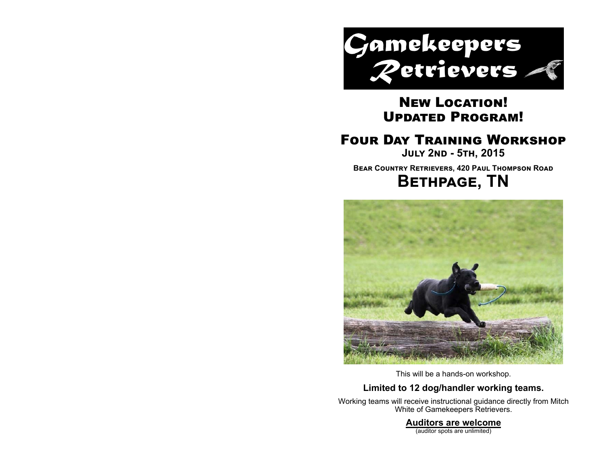

# New Location! UPDATED PROGRAM!

# **FOUR DAY TRAINING WORKSHOP**

**JULY 2ND - 5TH, 2015 BEAR COUNTRY RETRIEVERS, 420 PAUL THOMPSON ROAD BETHPAGE, TN** 



This will be a hands-on workshop.

### **Limited to 12 dog/handler working teams.**

Working teams will receive instructional guidance directly from Mitch White of Gamekeepers Retrievers.

### **Auditors are welcome**

(auditor spots are unlimited)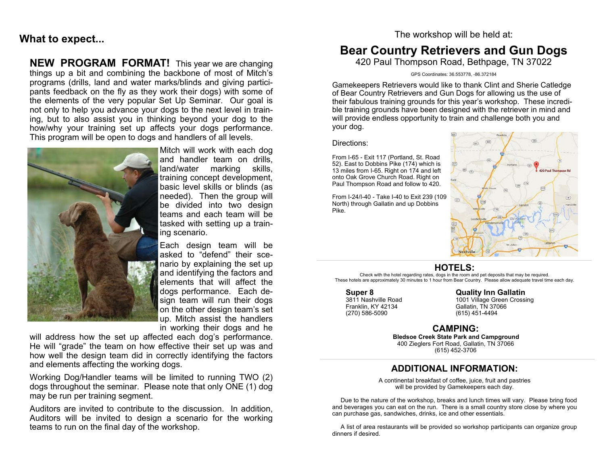## **What to expect...**

#### **NEW PROGRAM FORMAT!** This year we are changing things up a bit and combining the backbone of most of Mitch's programs (drills, land and water marks/blinds and giving participants feedback on the fly as they work their dogs) with some of the elements of the very popular Set Up Seminar. Our goal is not only to help you advance your dogs to the next level in training, but to also assist you in thinking beyond your dog to the how/why your training set up affects your dogs performance. This program will be open to dogs and handlers of all levels.



Mitch will work with each dog and handler team on drills, land/water marking skills, training concept development, basic level skills or blinds (as needed). Then the group will be divided into two design teams and each team will be tasked with setting up a training scenario.

Each design team will be asked to "defend" their scenario by explaining the set up and identifying the factors and elements that will affect the dogs performance. Each design team will run their dogs on the other design team's set up. Mitch assist the handlers in working their dogs and he

will address how the set up affected each dog's performance. He will "grade" the team on how effective their set up was and how well the design team did in correctly identifying the factors and elements affecting the working dogs.

Working Dog/Handler teams will be limited to running TWO (2) dogs throughout the seminar. Please note that only ONE (1) dog may be run per training segment.

Auditors are invited to contribute to the discussion. In addition, Auditors will be invited to design a scenario for the working teams to run on the final day of the workshop.

#### The workshop will be held at:

# **Bear Country Retrievers and Gun Dogs**

420 Paul Thompson Road, Bethpage, TN 37022

GPS Coordinates: 36.553778, -86.372184

Gamekeepers Retrievers would like to thank Clint and Sherie Catledge of Bear Country Retrievers and Gun Dogs for allowing us the use of their fabulous training grounds for this year's workshop. These incredible training grounds have been designed with the retriever in mind and will provide endless opportunity to train and challenge both you and your dog.

#### Directions:

From I-65 - Exit 117 (Portland, St. Road 52). East to Dobbins Pike (174) which is 13 miles from I-65. Right on 174 and left onto Oak Grove Church Road. Right on Paul Thompson Road and follow to 420.

From I-24/I-40 - Take I-40 to Exit 239 (109 North) through Gallatin and up Dobbins Pike.



### **HOTELS:**

Check with the hotel regarding rates, dogs in the room and pet deposits that may be required. These hotels are approximately 30 minutes to 1 hour from Bear Country. Please allow adequate travel time each day.

# **Super 8 Cuality Inn Gallatin**<br>
3811 Nashville Road<br>
1001 Village Green Crossi

3811 Nashville Road 1001 Village Green Crossing<br>
Franklin. KY 42134 6allatin. TN 37066 Franklin, KY 42134 Gallatin, TN 37066<br>(270) 586-5090 (615) 451-4494  $(615)$  451-4494

#### **CAMPING:**

**Bledsoe Creek State Park and Campground**  400 Zieglers Fort Road, Gallatin, TN 37066 (615) 452-3706

### **ADDITIONAL INFORMATION:**

A continental breakfast of coffee, juice, fruit and pastries will be provided by Gamekeepers each day.

 Due to the nature of the workshop, breaks and lunch times will vary. Please bring food and beverages you can eat on the run. There is a small country store close by where you can purchase gas, sandwiches, drinks, ice and other essentials.

 A list of area restaurants will be provided so workshop participants can organize group dinners if desired.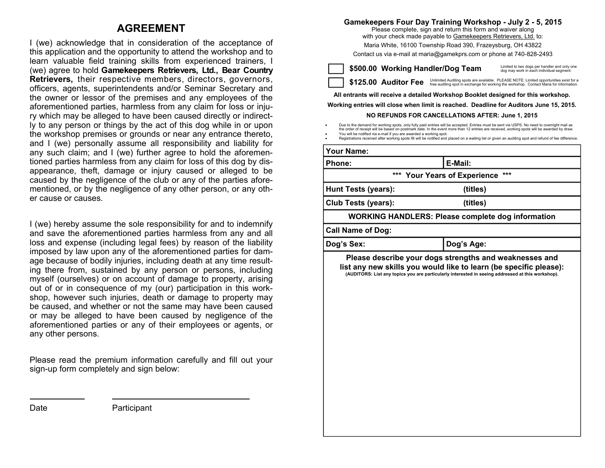## **AGREEMENT**

I (we) acknowledge that in consideration of the acceptance of this application and the opportunity to attend the workshop and to learn valuable field training skills from experienced trainers, I (we) agree to hold **Gamekeepers Retrievers, Ltd., Bear Country Retrievers,** their respective members, directors, governors, officers, agents, superintendents and/or Seminar Secretary and the owner or lessor of the premises and any employees of the aforementioned parties, harmless from any claim for loss or injury which may be alleged to have been caused directly or indirectly to any person or things by the act of this dog while in or upon the workshop premises or grounds or near any entrance thereto, and I (we) personally assume all responsibility and liability for any such claim; and I (we) further agree to hold the aforementioned parties harmless from any claim for loss of this dog by disappearance, theft, damage or injury caused or alleged to be caused by the negligence of the club or any of the parties aforementioned, or by the negligence of any other person, or any other cause or causes.

I (we) hereby assume the sole responsibility for and to indemnify and save the aforementioned parties harmless from any and all loss and expense (including legal fees) by reason of the liability imposed by law upon any of the aforementioned parties for damage because of bodily injuries, including death at any time resulting there from, sustained by any person or persons, including myself (ourselves) or on account of damage to property, arising out of or in consequence of my (our) participation in this workshop, however such injuries, death or damage to property may be caused, and whether or not the same may have been caused or may be alleged to have been caused by negligence of the aforementioned parties or any of their employees or agents, or any other persons.

Please read the premium information carefully and fill out your sign-up form completely and sign below:

#### **Gamekeepers Four Day Training Workshop - July 2 - 5, 2015**

Please complete, sign and return this form and waiver along with your check made payable to Gamekeepers Retrievers, Ltd. to:

Maria White, 16100 Township Road 390, Frazeysburg, OH 43822

Contact us via e-mail at maria@gamekprs.com or phone at 740-828-2493

**\$500.00 Working Handler/Dog Team**

Limited to two dogs per handler and only one dog may work in each individual segment.

\$125.00 Auditor Fee Unlimited Auditing spots are available. PLEASE NOTE: Limited opportunities exist for a free auditing spot in exchange for working the workshop. Contact Maria for information.

**All entrants will receive a detailed Workshop Booklet designed for this workshop.** 

**Working entries will close when limit is reached. Deadline for Auditors June 15, 2015.** 

#### **NO REFUNDS FOR CANCELLATIONS AFTER: June 1, 2015**

۰ Due to the demand for working spots, only fully paid entries will be accepted. Entries must be sent via USPS. No need to overnight mail as the order of receipt will be based on postmark date. In the event more than 12 entries are received, working spots will be awarded by draw. ۰ You will be notified via e-mail if you are awarded a working spot.

۰ Registrations received after working spots fill will be notified and placed on a waiting list or given an auditing spot and refund of fee difference.

| Your Name:                 |                              |                                                                                                   |  |
|----------------------------|------------------------------|---------------------------------------------------------------------------------------------------|--|
| Phone:                     |                              | E-Mail:                                                                                           |  |
|                            | *** Your Years of Experience | $***$                                                                                             |  |
| Hunt Tests (years):        |                              | (titles)                                                                                          |  |
| <b>Club Tests (years):</b> |                              | (titles)                                                                                          |  |
|                            |                              | <b>WORKING HANDLERS: Please complete dog information</b>                                          |  |
| <b>Call Name of Dog:</b>   |                              |                                                                                                   |  |
| Dog's Sex:                 |                              | Dog's Age:                                                                                        |  |
|                            |                              | (AUDITORS: List any topics you are particularly interested in seeing addressed at this workshop). |  |

Date **Participant**